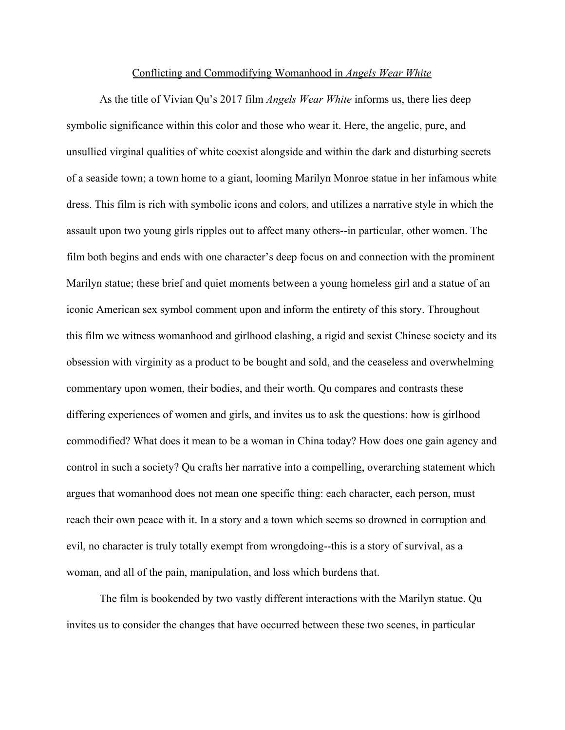## Conflicting and Commodifying Womanhood in *Angels Wear White*

As the title of Vivian Qu's 2017 film *Angels Wear White* informs us, there lies deep symbolic significance within this color and those who wear it. Here, the angelic, pure, and unsullied virginal qualities of white coexist alongside and within the dark and disturbing secrets of a seaside town; a town home to a giant, looming Marilyn Monroe statue in her infamous white dress. This film is rich with symbolic icons and colors, and utilizes a narrative style in which the assault upon two young girls ripples out to affect many others--in particular, other women. The film both begins and ends with one character's deep focus on and connection with the prominent Marilyn statue; these brief and quiet moments between a young homeless girl and a statue of an iconic American sex symbol comment upon and inform the entirety of this story. Throughout this film we witness womanhood and girlhood clashing, a rigid and sexist Chinese society and its obsession with virginity as a product to be bought and sold, and the ceaseless and overwhelming commentary upon women, their bodies, and their worth. Qu compares and contrasts these differing experiences of women and girls, and invites us to ask the questions: how is girlhood commodified? What does it mean to be a woman in China today? How does one gain agency and control in such a society? Qu crafts her narrative into a compelling, overarching statement which argues that womanhood does not mean one specific thing: each character, each person, must reach their own peace with it. In a story and a town which seems so drowned in corruption and evil, no character is truly totally exempt from wrongdoing--this is a story of survival, as a woman, and all of the pain, manipulation, and loss which burdens that.

The film is bookended by two vastly different interactions with the Marilyn statue. Qu invites us to consider the changes that have occurred between these two scenes, in particular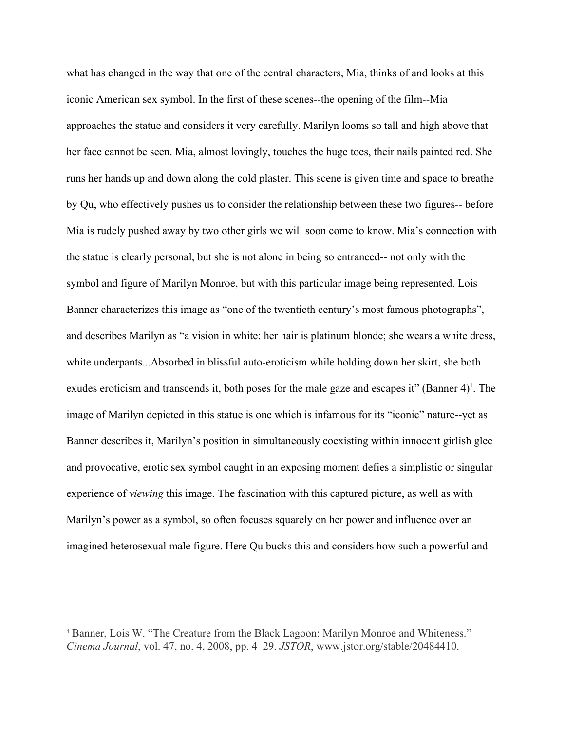what has changed in the way that one of the central characters, Mia, thinks of and looks at this iconic American sex symbol. In the first of these scenes--the opening of the film--Mia approaches the statue and considers it very carefully. Marilyn looms so tall and high above that her face cannot be seen. Mia, almost lovingly, touches the huge toes, their nails painted red. She runs her hands up and down along the cold plaster. This scene is given time and space to breathe by Qu, who effectively pushes us to consider the relationship between these two figures-- before Mia is rudely pushed away by two other girls we will soon come to know. Mia's connection with the statue is clearly personal, but she is not alone in being so entranced-- not only with the symbol and figure of Marilyn Monroe, but with this particular image being represented. Lois Banner characterizes this image as "one of the twentieth century's most famous photographs", and describes Marilyn as "a vision in white: her hair is platinum blonde; she wears a white dress, white underpants...Absorbed in blissful auto-eroticism while holding down her skirt, she both exudes eroticism and transcends it, both poses for the male gaze and escapes it" (Banner  $4$ )<sup>1</sup>. The image of Marilyn depicted in this statue is one which is infamous for its "iconic" nature--yet as Banner describes it, Marilyn's position in simultaneously coexisting within innocent girlish glee and provocative, erotic sex symbol caught in an exposing moment defies a simplistic or singular experience of *viewing* this image. The fascination with this captured picture, as well as with Marilyn's power as a symbol, so often focuses squarely on her power and influence over an imagined heterosexual male figure. Here Qu bucks this and considers how such a powerful and

<sup>1</sup> Banner, Lois W. "The Creature from the Black Lagoon: Marilyn Monroe and Whiteness." *Cinema Journal*, vol. 47, no. 4, 2008, pp. 4–29. *JSTOR*, www.jstor.org/stable/20484410.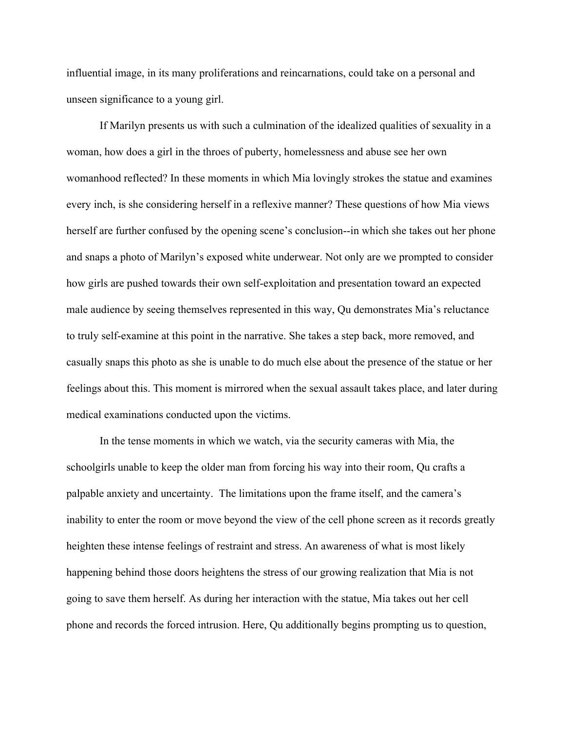influential image, in its many proliferations and reincarnations, could take on a personal and unseen significance to a young girl.

If Marilyn presents us with such a culmination of the idealized qualities of sexuality in a woman, how does a girl in the throes of puberty, homelessness and abuse see her own womanhood reflected? In these moments in which Mia lovingly strokes the statue and examines every inch, is she considering herself in a reflexive manner? These questions of how Mia views herself are further confused by the opening scene's conclusion--in which she takes out her phone and snaps a photo of Marilyn's exposed white underwear. Not only are we prompted to consider how girls are pushed towards their own self-exploitation and presentation toward an expected male audience by seeing themselves represented in this way, Qu demonstrates Mia's reluctance to truly self-examine at this point in the narrative. She takes a step back, more removed, and casually snaps this photo as she is unable to do much else about the presence of the statue or her feelings about this. This moment is mirrored when the sexual assault takes place, and later during medical examinations conducted upon the victims.

In the tense moments in which we watch, via the security cameras with Mia, the schoolgirls unable to keep the older man from forcing his way into their room, Qu crafts a palpable anxiety and uncertainty. The limitations upon the frame itself, and the camera's inability to enter the room or move beyond the view of the cell phone screen as it records greatly heighten these intense feelings of restraint and stress. An awareness of what is most likely happening behind those doors heightens the stress of our growing realization that Mia is not going to save them herself. As during her interaction with the statue, Mia takes out her cell phone and records the forced intrusion. Here, Qu additionally begins prompting us to question,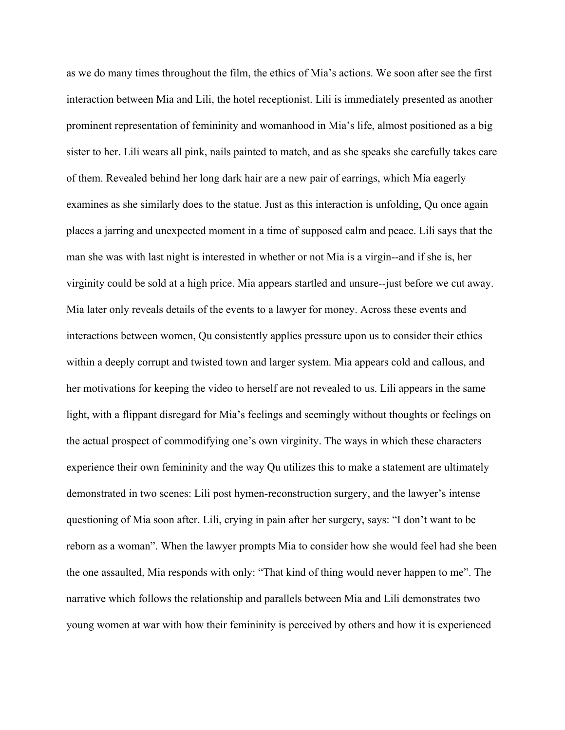as we do many times throughout the film, the ethics of Mia's actions. We soon after see the first interaction between Mia and Lili, the hotel receptionist. Lili is immediately presented as another prominent representation of femininity and womanhood in Mia's life, almost positioned as a big sister to her. Lili wears all pink, nails painted to match, and as she speaks she carefully takes care of them. Revealed behind her long dark hair are a new pair of earrings, which Mia eagerly examines as she similarly does to the statue. Just as this interaction is unfolding, Qu once again places a jarring and unexpected moment in a time of supposed calm and peace. Lili says that the man she was with last night is interested in whether or not Mia is a virgin--and if she is, her virginity could be sold at a high price. Mia appears startled and unsure--just before we cut away. Mia later only reveals details of the events to a lawyer for money. Across these events and interactions between women, Qu consistently applies pressure upon us to consider their ethics within a deeply corrupt and twisted town and larger system. Mia appears cold and callous, and her motivations for keeping the video to herself are not revealed to us. Lili appears in the same light, with a flippant disregard for Mia's feelings and seemingly without thoughts or feelings on the actual prospect of commodifying one's own virginity. The ways in which these characters experience their own femininity and the way Qu utilizes this to make a statement are ultimately demonstrated in two scenes: Lili post hymen-reconstruction surgery, and the lawyer's intense questioning of Mia soon after. Lili, crying in pain after her surgery, says: "I don't want to be reborn as a woman". When the lawyer prompts Mia to consider how she would feel had she been the one assaulted, Mia responds with only: "That kind of thing would never happen to me". The narrative which follows the relationship and parallels between Mia and Lili demonstrates two young women at war with how their femininity is perceived by others and how it is experienced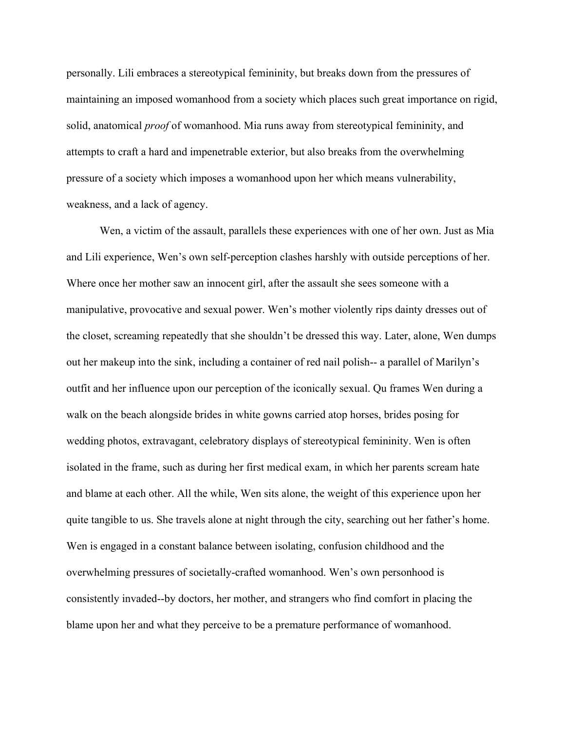personally. Lili embraces a stereotypical femininity, but breaks down from the pressures of maintaining an imposed womanhood from a society which places such great importance on rigid, solid, anatomical *proof* of womanhood. Mia runs away from stereotypical femininity, and attempts to craft a hard and impenetrable exterior, but also breaks from the overwhelming pressure of a society which imposes a womanhood upon her which means vulnerability, weakness, and a lack of agency.

Wen, a victim of the assault, parallels these experiences with one of her own. Just as Mia and Lili experience, Wen's own self-perception clashes harshly with outside perceptions of her. Where once her mother saw an innocent girl, after the assault she sees someone with a manipulative, provocative and sexual power. Wen's mother violently rips dainty dresses out of the closet, screaming repeatedly that she shouldn't be dressed this way. Later, alone, Wen dumps out her makeup into the sink, including a container of red nail polish-- a parallel of Marilyn's outfit and her influence upon our perception of the iconically sexual. Qu frames Wen during a walk on the beach alongside brides in white gowns carried atop horses, brides posing for wedding photos, extravagant, celebratory displays of stereotypical femininity. Wen is often isolated in the frame, such as during her first medical exam, in which her parents scream hate and blame at each other. All the while, Wen sits alone, the weight of this experience upon her quite tangible to us. She travels alone at night through the city, searching out her father's home. Wen is engaged in a constant balance between isolating, confusion childhood and the overwhelming pressures of societally-crafted womanhood. Wen's own personhood is consistently invaded--by doctors, her mother, and strangers who find comfort in placing the blame upon her and what they perceive to be a premature performance of womanhood.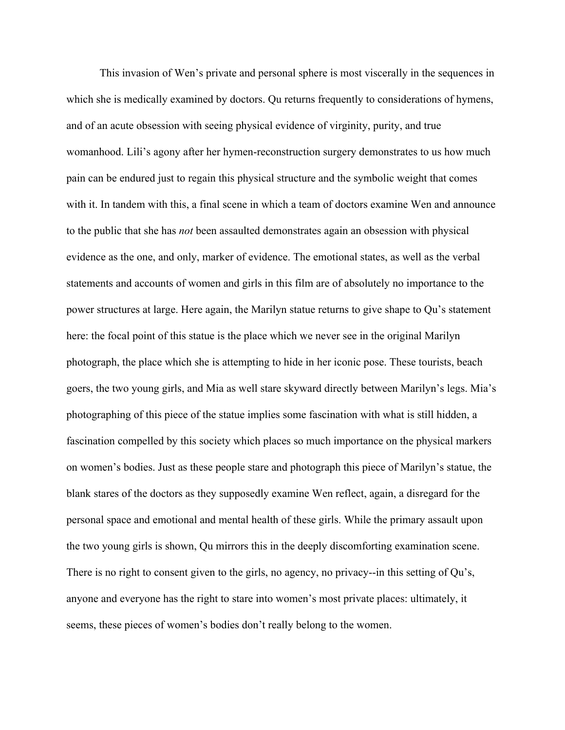This invasion of Wen's private and personal sphere is most viscerally in the sequences in which she is medically examined by doctors. Qu returns frequently to considerations of hymens, and of an acute obsession with seeing physical evidence of virginity, purity, and true womanhood. Lili's agony after her hymen-reconstruction surgery demonstrates to us how much pain can be endured just to regain this physical structure and the symbolic weight that comes with it. In tandem with this, a final scene in which a team of doctors examine Wen and announce to the public that she has *not* been assaulted demonstrates again an obsession with physical evidence as the one, and only, marker of evidence. The emotional states, as well as the verbal statements and accounts of women and girls in this film are of absolutely no importance to the power structures at large. Here again, the Marilyn statue returns to give shape to Qu's statement here: the focal point of this statue is the place which we never see in the original Marilyn photograph, the place which she is attempting to hide in her iconic pose. These tourists, beach goers, the two young girls, and Mia as well stare skyward directly between Marilyn's legs. Mia's photographing of this piece of the statue implies some fascination with what is still hidden, a fascination compelled by this society which places so much importance on the physical markers on women's bodies. Just as these people stare and photograph this piece of Marilyn's statue, the blank stares of the doctors as they supposedly examine Wen reflect, again, a disregard for the personal space and emotional and mental health of these girls. While the primary assault upon the two young girls is shown, Qu mirrors this in the deeply discomforting examination scene. There is no right to consent given to the girls, no agency, no privacy--in this setting of Qu's, anyone and everyone has the right to stare into women's most private places: ultimately, it seems, these pieces of women's bodies don't really belong to the women.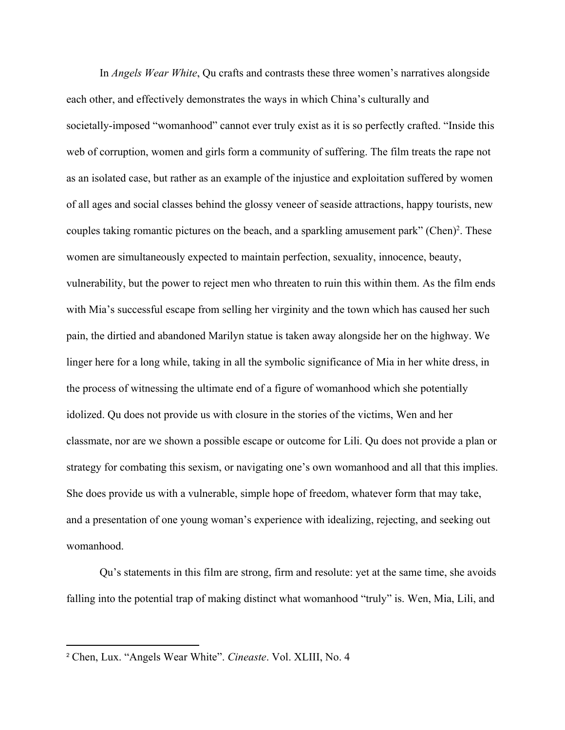In *Angels Wear White*, Qu crafts and contrasts these three women's narratives alongside each other, and effectively demonstrates the ways in which China's culturally and societally-imposed "womanhood" cannot ever truly exist as it is so perfectly crafted. "Inside this web of corruption, women and girls form a community of suffering. The film treats the rape not as an isolated case, but rather as an example of the injustice and exploitation suffered by women of all ages and social classes behind the glossy veneer of seaside attractions, happy tourists, new couples taking romantic pictures on the beach, and a sparkling amusement park" (Chen)<sup>2</sup>. These women are simultaneously expected to maintain perfection, sexuality, innocence, beauty, vulnerability, but the power to reject men who threaten to ruin this within them. As the film ends with Mia's successful escape from selling her virginity and the town which has caused her such pain, the dirtied and abandoned Marilyn statue is taken away alongside her on the highway. We linger here for a long while, taking in all the symbolic significance of Mia in her white dress, in the process of witnessing the ultimate end of a figure of womanhood which she potentially idolized. Qu does not provide us with closure in the stories of the victims, Wen and her classmate, nor are we shown a possible escape or outcome for Lili. Qu does not provide a plan or strategy for combating this sexism, or navigating one's own womanhood and all that this implies. She does provide us with a vulnerable, simple hope of freedom, whatever form that may take, and a presentation of one young woman's experience with idealizing, rejecting, and seeking out womanhood.

Qu's statements in this film are strong, firm and resolute: yet at the same time, she avoids falling into the potential trap of making distinct what womanhood "truly" is. Wen, Mia, Lili, and

<sup>2</sup> Chen, Lux. "Angels Wear White". *Cineaste*. Vol. XLIII, No. 4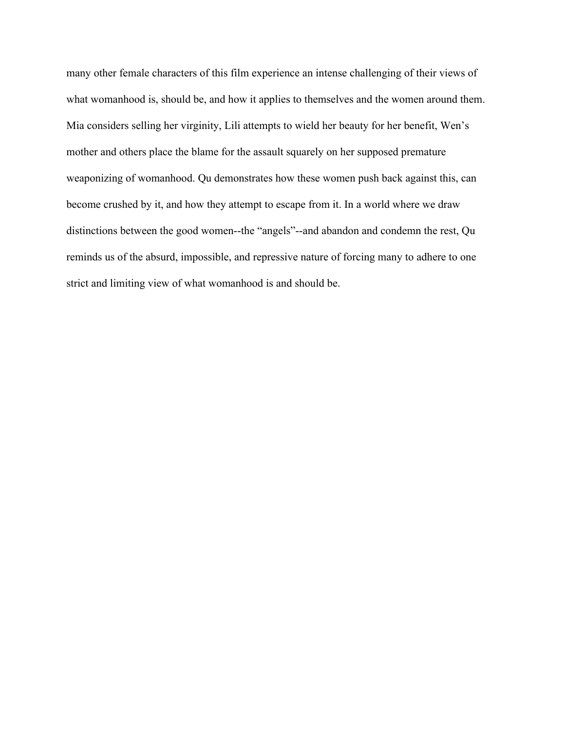many other female characters of this film experience an intense challenging of their views of what womanhood is, should be, and how it applies to themselves and the women around them. Mia considers selling her virginity, Lili attempts to wield her beauty for her benefit, Wen's mother and others place the blame for the assault squarely on her supposed premature weaponizing of womanhood. Qu demonstrates how these women push back against this, can become crushed by it, and how they attempt to escape from it. In a world where we draw distinctions between the good women--the "angels"--and abandon and condemn the rest, Qu reminds us of the absurd, impossible, and repressive nature of forcing many to adhere to one strict and limiting view of what womanhood is and should be.